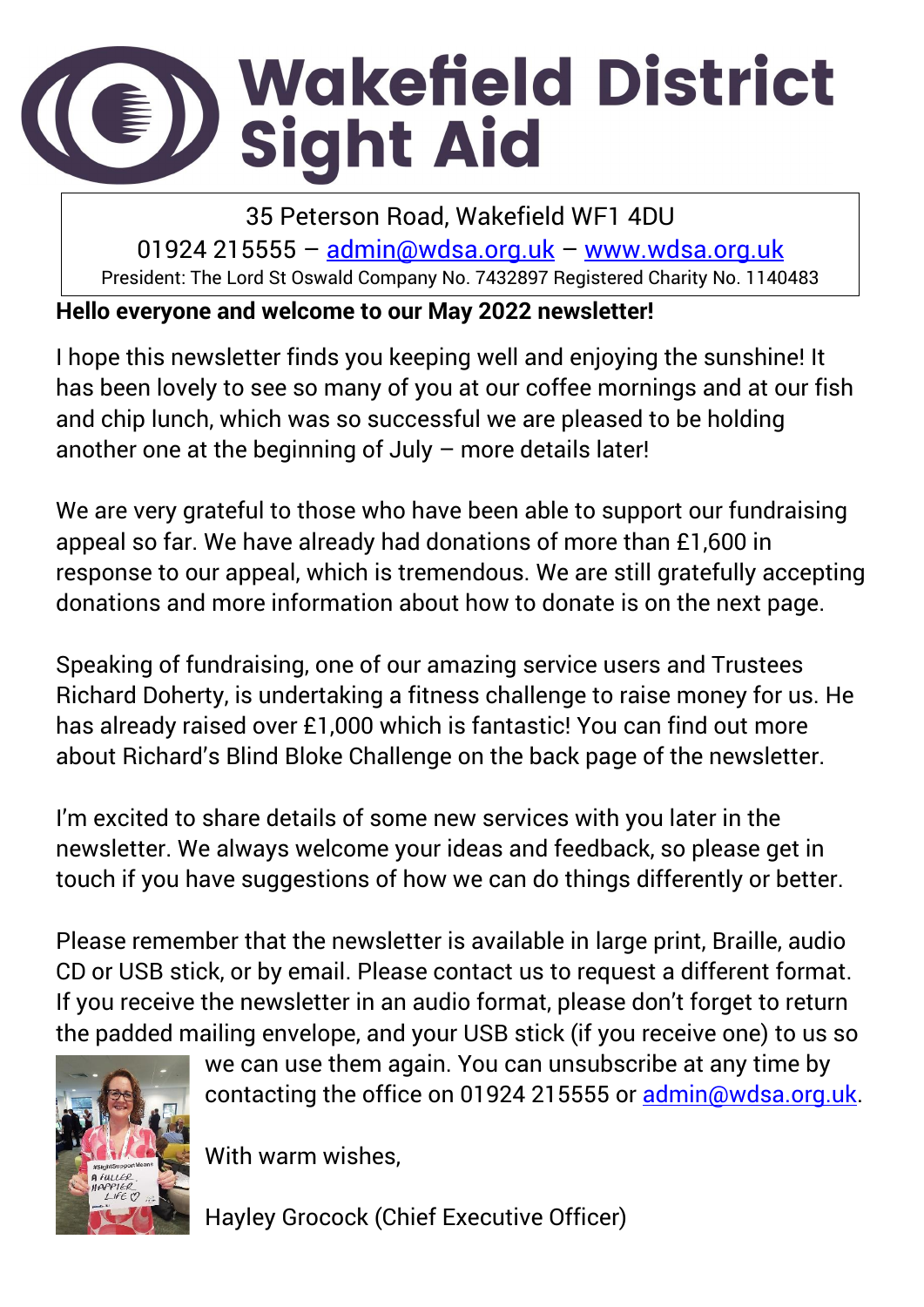# Wakefield District<br>Sight Aid E))

35 Peterson Road, Wakefield WF1 4DU 01924 215555 – [admin@wdsa.org.uk](mailto:admin@wdsa.org.uk) – [www.wdsa.org.uk](http://www.wdsa.org.uk/) President: The Lord St Oswald Company No. 7432897 Registered Charity No. 1140483

#### **Hello everyone and welcome to our May 2022 newsletter!**

I hope this newsletter finds you keeping well and enjoying the sunshine! It has been lovely to see so many of you at our coffee mornings and at our fish and chip lunch, which was so successful we are pleased to be holding another one at the beginning of July – more details later!

We are very grateful to those who have been able to support our fundraising appeal so far. We have already had donations of more than £1,600 in response to our appeal, which is tremendous. We are still gratefully accepting donations and more information about how to donate is on the next page.

Speaking of fundraising, one of our amazing service users and Trustees Richard Doherty, is undertaking a fitness challenge to raise money for us. He has already raised over £1,000 which is fantastic! You can find out more about Richard's Blind Bloke Challenge on the back page of the newsletter.

I'm excited to share details of some new services with you later in the newsletter. We always welcome your ideas and feedback, so please get in touch if you have suggestions of how we can do things differently or better.

Please remember that the newsletter is available in large print, Braille, audio CD or USB stick, or by email. Please contact us to request a different format. If you receive the newsletter in an audio format, please don't forget to return the padded mailing envelope, and your USB stick (if you receive one) to us so



I

we can use them again. You can unsubscribe at any time by contacting the office on 01924 215555 or [admin@wdsa.org.uk.](mailto:admin@wdsa.org.uk)

With warm wishes,

Hayley Grocock (Chief Executive Officer)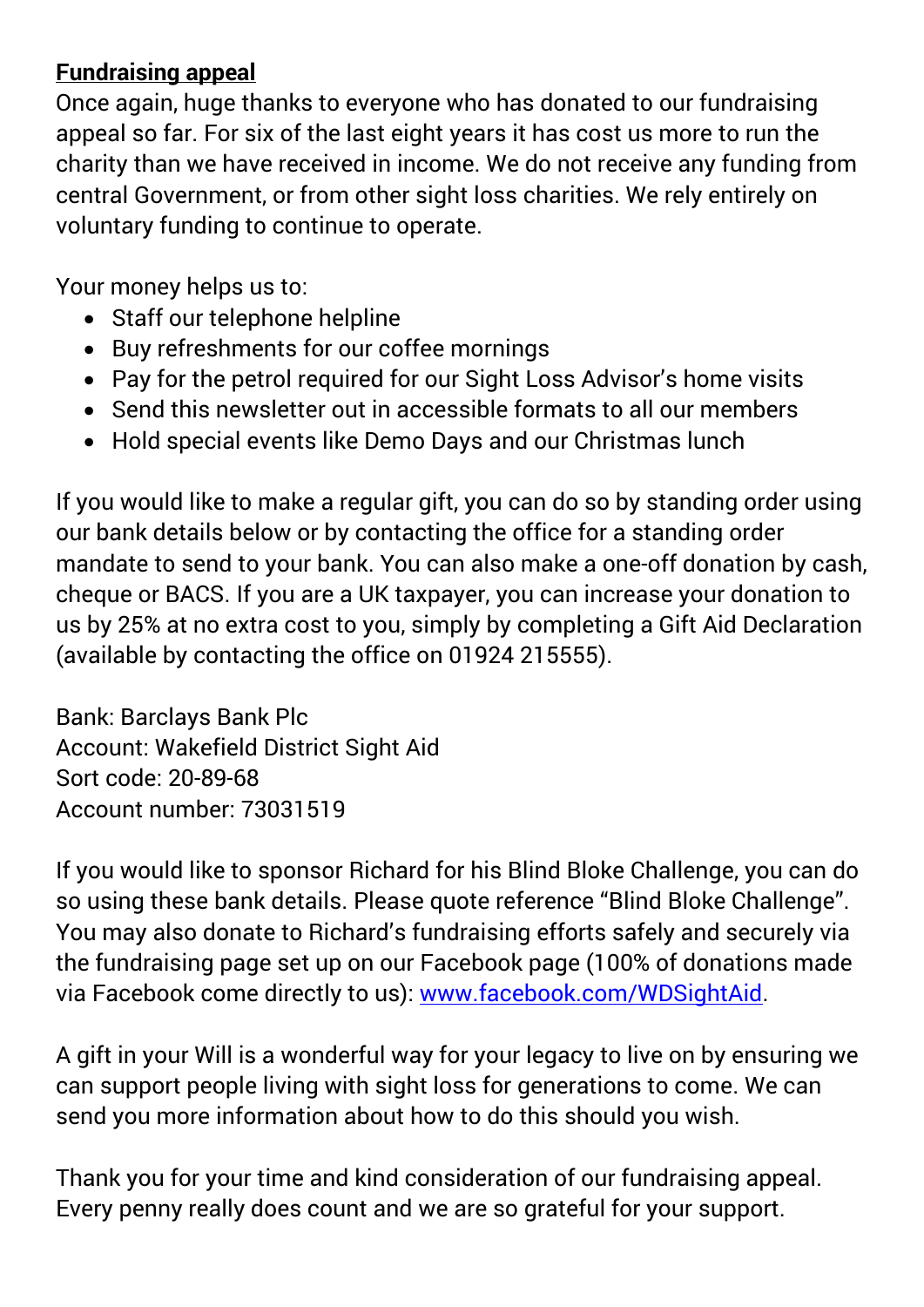#### **Fundraising appeal**

Once again, huge thanks to everyone who has donated to our fundraising appeal so far. For six of the last eight years it has cost us more to run the charity than we have received in income. We do not receive any funding from central Government, or from other sight loss charities. We rely entirely on voluntary funding to continue to operate.

Your money helps us to:

- Staff our telephone helpline
- Buy refreshments for our coffee mornings
- Pay for the petrol required for our Sight Loss Advisor's home visits
- Send this newsletter out in accessible formats to all our members
- Hold special events like Demo Days and our Christmas lunch

If you would like to make a regular gift, you can do so by standing order using our bank details below or by contacting the office for a standing order mandate to send to your bank. You can also make a one-off donation by cash, cheque or BACS. If you are a UK taxpayer, you can increase your donation to us by 25% at no extra cost to you, simply by completing a Gift Aid Declaration (available by contacting the office on 01924 215555).

Bank: Barclays Bank Plc Account: Wakefield District Sight Aid Sort code: 20-89-68 Account number: 73031519

If you would like to sponsor Richard for his Blind Bloke Challenge, you can do so using these bank details. Please quote reference "Blind Bloke Challenge". You may also donate to Richard's fundraising efforts safely and securely via the fundraising page set up on our Facebook page (100% of donations made via Facebook come directly to us): [www.facebook.com/WDSightAid.](https://www.facebook.com/WDSightAid)

A gift in your Will is a wonderful way for your legacy to live on by ensuring we can support people living with sight loss for generations to come. We can send you more information about how to do this should you wish.

Thank you for your time and kind consideration of our fundraising appeal. Every penny really does count and we are so grateful for your support.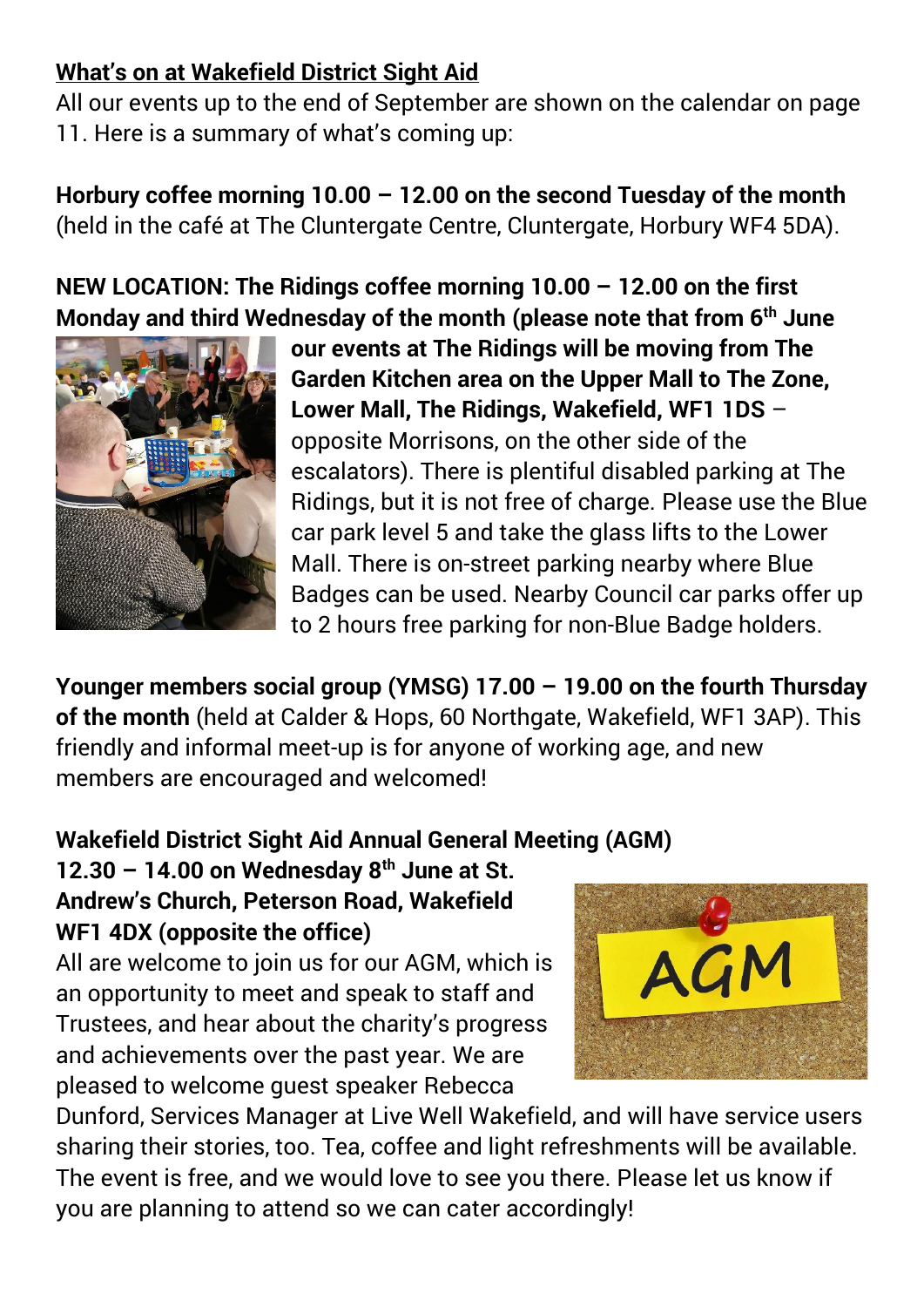#### **What's on at Wakefield District Sight Aid**

All our events up to the end of September are shown on the calendar on page 11. Here is a summary of what's coming up:

**Horbury coffee morning 10.00 – 12.00 on the second Tuesday of the month** (held in the café at The Cluntergate Centre, Cluntergate, Horbury WF4 5DA).

**NEW LOCATION: The Ridings coffee morning 10.00 – 12.00 on the first Monday and third Wednesday of the month (please note that from 6th June** 



**our events at The Ridings will be moving from The Garden Kitchen area on the Upper Mall to The Zone, Lower Mall, The Ridings, Wakefield, WF1 1DS** – opposite Morrisons, on the other side of the escalators). There is plentiful disabled parking at The Ridings, but it is not free of charge. Please use the Blue car park level 5 and take the glass lifts to the Lower Mall. There is on-street parking nearby where Blue Badges can be used. Nearby Council car parks offer up to 2 hours free parking for non-Blue Badge holders.

**Younger members social group (YMSG) 17.00 – 19.00 on the fourth Thursday of the month** (held at Calder & Hops, 60 Northgate, Wakefield, WF1 3AP). This friendly and informal meet-up is for anyone of working age, and new members are encouraged and welcomed!

#### **Wakefield District Sight Aid Annual General Meeting (AGM)**

**12.30 – 14.00 on Wednesday 8th June at St. Andrew's Church, Peterson Road, Wakefield WF1 4DX (opposite the office)**

All are welcome to join us for our AGM, which is an opportunity to meet and speak to staff and Trustees, and hear about the charity's progress and achievements over the past year. We are pleased to welcome guest speaker Rebecca



Dunford, Services Manager at Live Well Wakefield, and will have service users sharing their stories, too. Tea, coffee and light refreshments will be available. The event is free, and we would love to see you there. Please let us know if you are planning to attend so we can cater accordingly!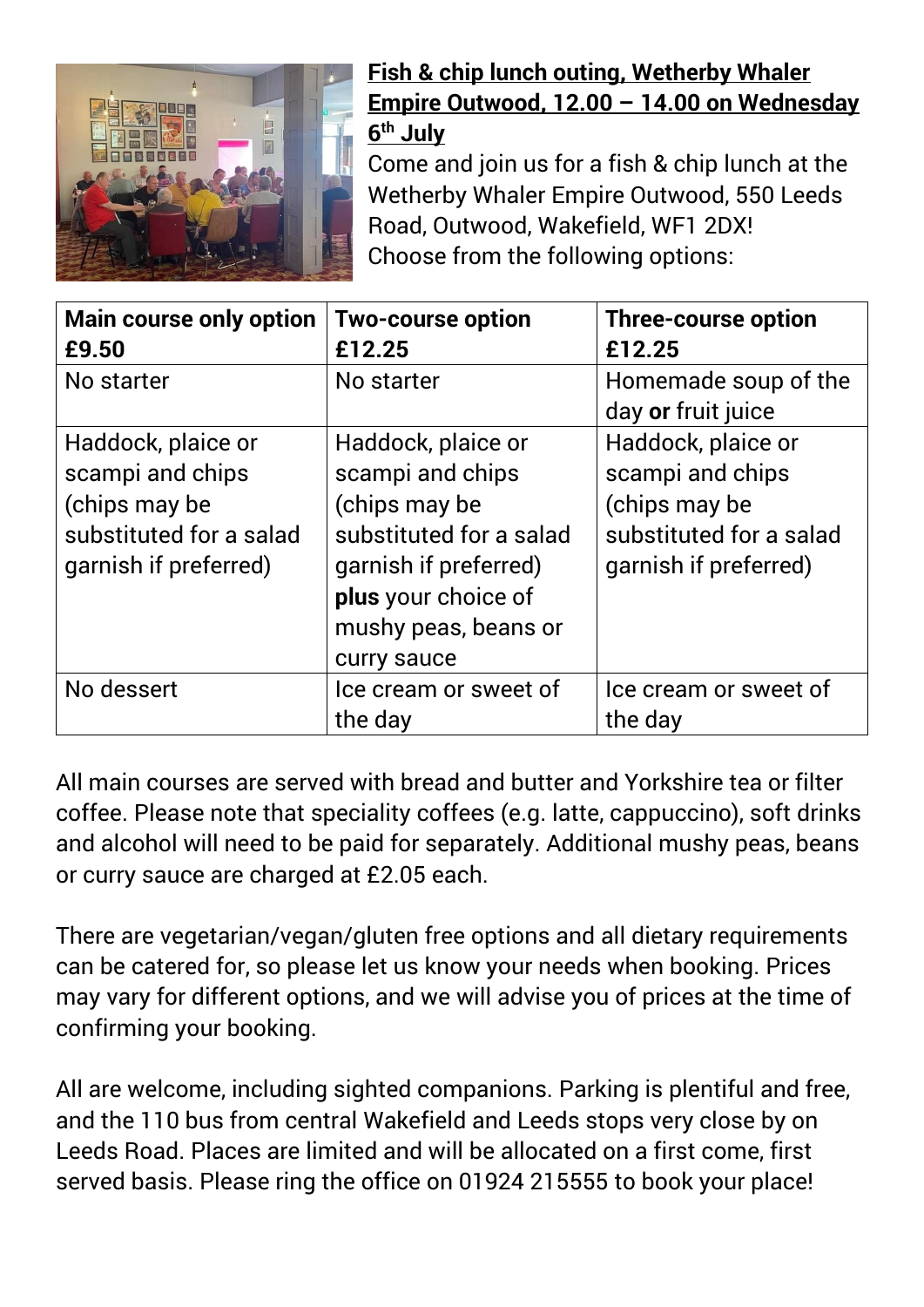

#### **Fish & chip lunch outing, Wetherby Whaler Empire Outwood, 12.00 – 14.00 on Wednesday 6 th July**

Come and join us for a fish & chip lunch at the Wetherby Whaler Empire Outwood, 550 Leeds Road, Outwood, Wakefield, WF1 2DX! Choose from the following options:

| <b>Main course only option</b><br>£9.50                                                                     | <b>Two-course option</b><br>£12.25                                                                                                                                        | <b>Three-course option</b><br>£12.25                                                                        |
|-------------------------------------------------------------------------------------------------------------|---------------------------------------------------------------------------------------------------------------------------------------------------------------------------|-------------------------------------------------------------------------------------------------------------|
| No starter                                                                                                  | No starter                                                                                                                                                                | Homemade soup of the<br>day or fruit juice                                                                  |
| Haddock, plaice or<br>scampi and chips<br>(chips may be<br>substituted for a salad<br>garnish if preferred) | Haddock, plaice or<br>scampi and chips<br>(chips may be<br>substituted for a salad<br>garnish if preferred)<br>plus your choice of<br>mushy peas, beans or<br>curry sauce | Haddock, plaice or<br>scampi and chips<br>(chips may be<br>substituted for a salad<br>garnish if preferred) |
| No dessert                                                                                                  | Ice cream or sweet of<br>the day                                                                                                                                          | Ice cream or sweet of<br>the day                                                                            |

All main courses are served with bread and butter and Yorkshire tea or filter coffee. Please note that speciality coffees (e.g. latte, cappuccino), soft drinks and alcohol will need to be paid for separately. Additional mushy peas, beans or curry sauce are charged at £2.05 each.

There are vegetarian/vegan/gluten free options and all dietary requirements can be catered for, so please let us know your needs when booking. Prices may vary for different options, and we will advise you of prices at the time of confirming your booking.

All are welcome, including sighted companions. Parking is plentiful and free, and the 110 bus from central Wakefield and Leeds stops very close by on Leeds Road. Places are limited and will be allocated on a first come, first served basis. Please ring the office on 01924 215555 to book your place!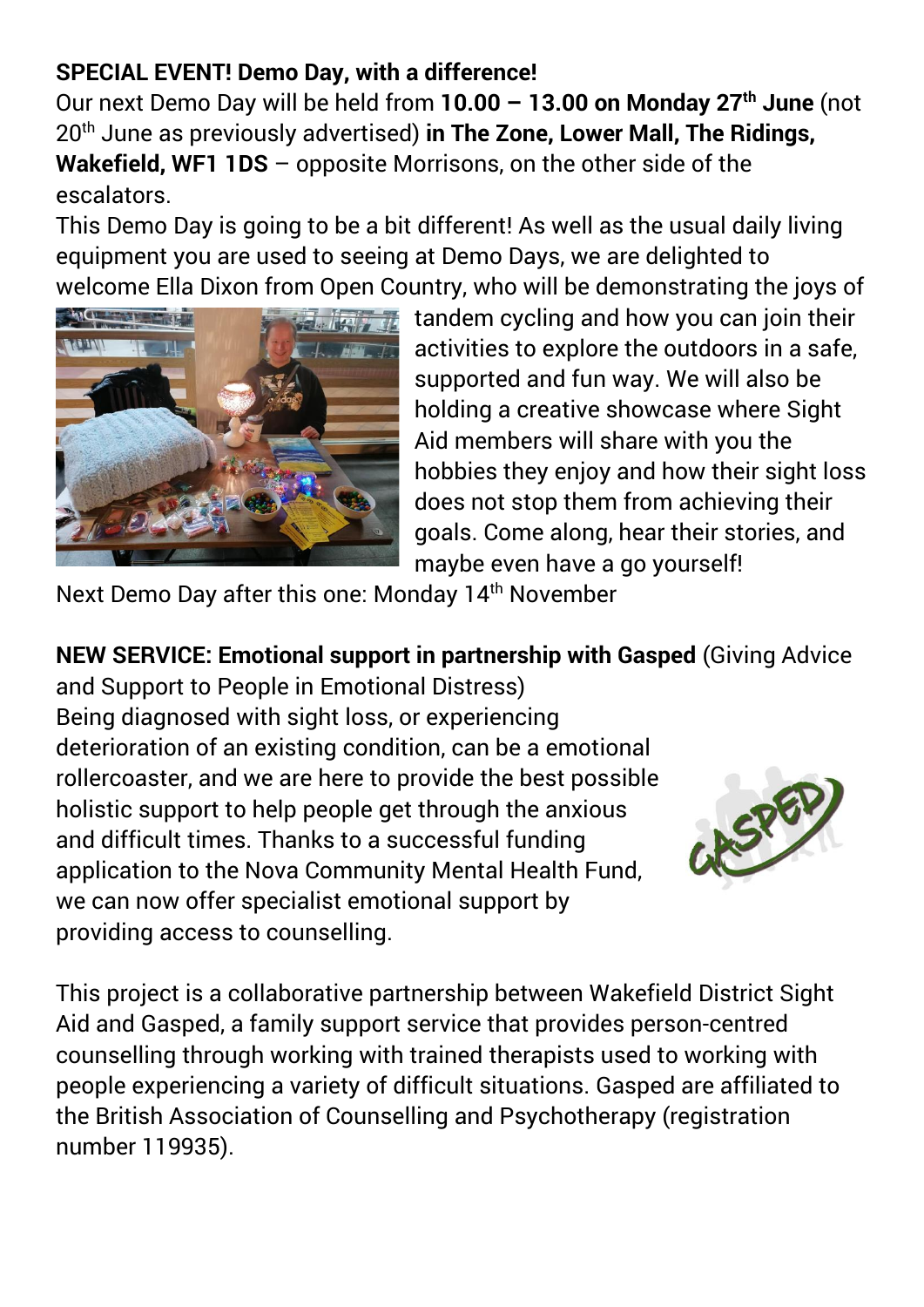#### **SPECIAL EVENT! Demo Day, with a difference!**

Our next Demo Day will be held from **10.00 – 13.00 on Monday 27th June** (not 20th June as previously advertised) **in The Zone, Lower Mall, The Ridings, Wakefield, WF1 1DS** – opposite Morrisons, on the other side of the escalators.

This Demo Day is going to be a bit different! As well as the usual daily living equipment you are used to seeing at Demo Days, we are delighted to welcome Ella Dixon from Open Country, who will be demonstrating the joys of



tandem cycling and how you can join their activities to explore the outdoors in a safe, supported and fun way. We will also be holding a creative showcase where Sight Aid members will share with you the hobbies they enjoy and how their sight loss does not stop them from achieving their goals. Come along, hear their stories, and maybe even have a go yourself!

Next Demo Day after this one: Monday 14<sup>th</sup> November

**NEW SERVICE: Emotional support in partnership with Gasped** (Giving Advice

and Support to People in Emotional Distress) Being diagnosed with sight loss, or experiencing deterioration of an existing condition, can be a emotional rollercoaster, and we are here to provide the best possible holistic support to help people get through the anxious and difficult times. Thanks to a successful funding application to the Nova Community Mental Health Fund, we can now offer specialist emotional support by providing access to counselling.



This project is a collaborative partnership between Wakefield District Sight Aid and Gasped, a family support service that provides person-centred counselling through working with trained therapists used to working with people experiencing a variety of difficult situations. Gasped are affiliated to the British Association of Counselling and Psychotherapy (registration number 119935).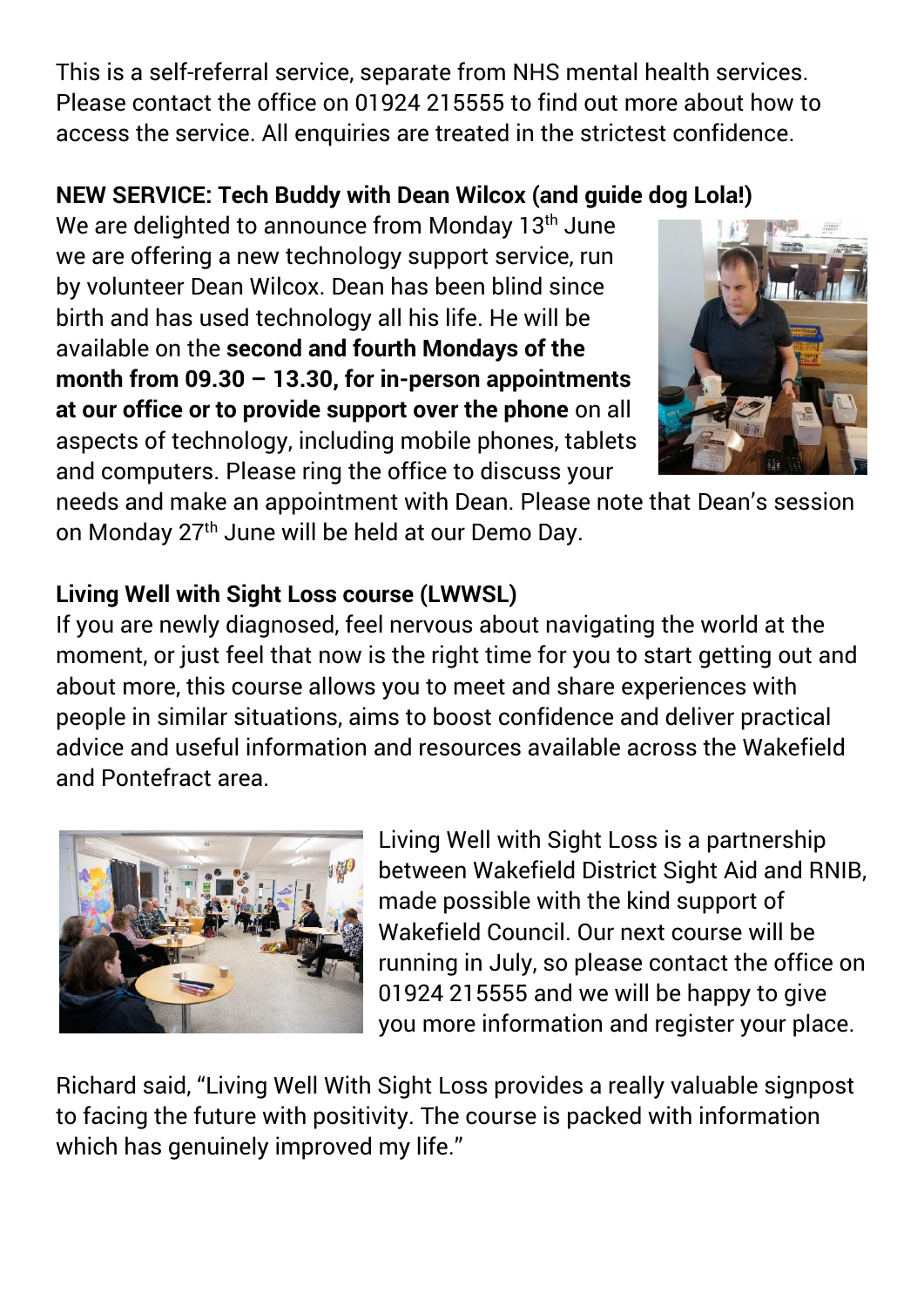This is a self-referral service, separate from NHS mental health services. Please contact the office on 01924 215555 to find out more about how to access the service. All enquiries are treated in the strictest confidence.

#### **NEW SERVICE: Tech Buddy with Dean Wilcox (and guide dog Lola!)**

We are delighted to announce from Monday 13<sup>th</sup> June we are offering a new technology support service, run by volunteer Dean Wilcox. Dean has been blind since birth and has used technology all his life. He will be available on the **second and fourth Mondays of the month from 09.30 – 13.30, for in-person appointments at our office or to provide support over the phone** on all aspects of technology, including mobile phones, tablets and computers. Please ring the office to discuss your



needs and make an appointment with Dean. Please note that Dean's session on Monday 27th June will be held at our Demo Day.

#### **Living Well with Sight Loss course (LWWSL)**

If you are newly diagnosed, feel nervous about navigating the world at the moment, or just feel that now is the right time for you to start getting out and about more, this course allows you to meet and share experiences with people in similar situations, aims to boost confidence and deliver practical advice and useful information and resources available across the Wakefield and Pontefract area.



Living Well with Sight Loss is a partnership between Wakefield District Sight Aid and RNIB, made possible with the kind support of Wakefield Council. Our next course will be running in July, so please contact the office on 01924 215555 and we will be happy to give you more information and register your place.

Richard said, "Living Well With Sight Loss provides a really valuable signpost to facing the future with positivity. The course is packed with information which has genuinely improved my life."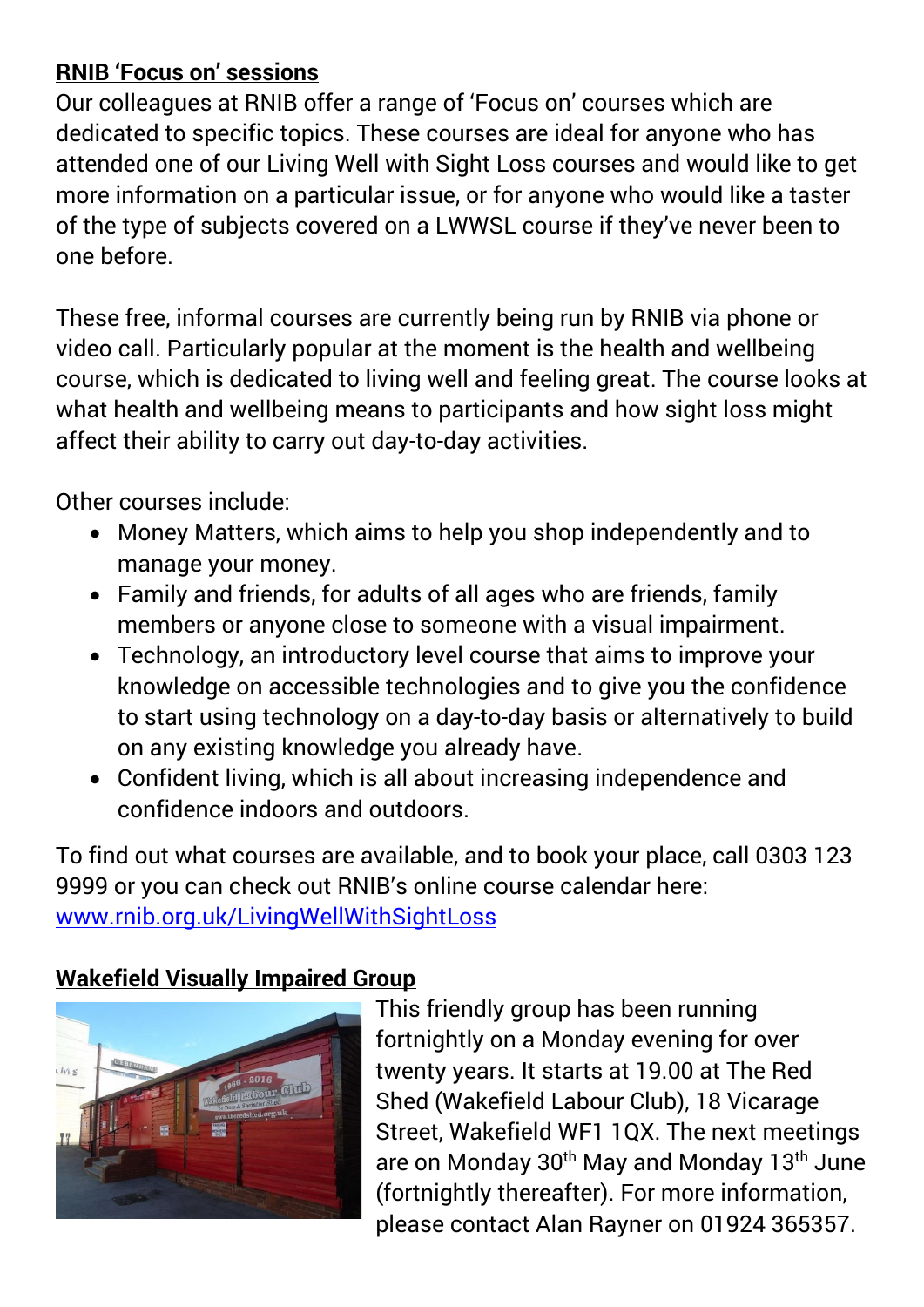#### **RNIB 'Focus on' sessions**

Our colleagues at RNIB offer a range of 'Focus on' courses which are dedicated to specific topics. These courses are ideal for anyone who has attended one of our Living Well with Sight Loss courses and would like to get more information on a particular issue, or for anyone who would like a taster of the type of subjects covered on a LWWSL course if they've never been to one before.

These free, informal courses are currently being run by RNIB via phone or video call. Particularly popular at the moment is the health and wellbeing course, which is dedicated to living well and feeling great. The course looks at what health and wellbeing means to participants and how sight loss might affect their ability to carry out day-to-day activities.

Other courses include:

- Money Matters, which aims to help you shop independently and to manage your money.
- Family and friends, for adults of all ages who are friends, family members or anyone close to someone with a visual impairment.
- Technology, an introductory level course that aims to improve your knowledge on accessible technologies and to give you the confidence to start using technology on a day-to-day basis or alternatively to build on any existing knowledge you already have.
- Confident living, which is all about increasing independence and confidence indoors and outdoors.

To find out what courses are available, and to book your place, call 0303 123 9999 or you can check out RNIB's online course calendar here: [www.rnib.org.uk/LivingWellWithSightLoss](http://www.rnib.org.uk/LivingWellWithSightLoss)

#### **Wakefield Visually Impaired Group**



This friendly group has been running fortnightly on a Monday evening for over twenty years. It starts at 19.00 at The Red Shed (Wakefield Labour Club), 18 Vicarage Street, Wakefield WF1 1QX. The next meetings are on Monday 30<sup>th</sup> May and Monday 13<sup>th</sup> June (fortnightly thereafter). For more information, please contact Alan Rayner on 01924 365357.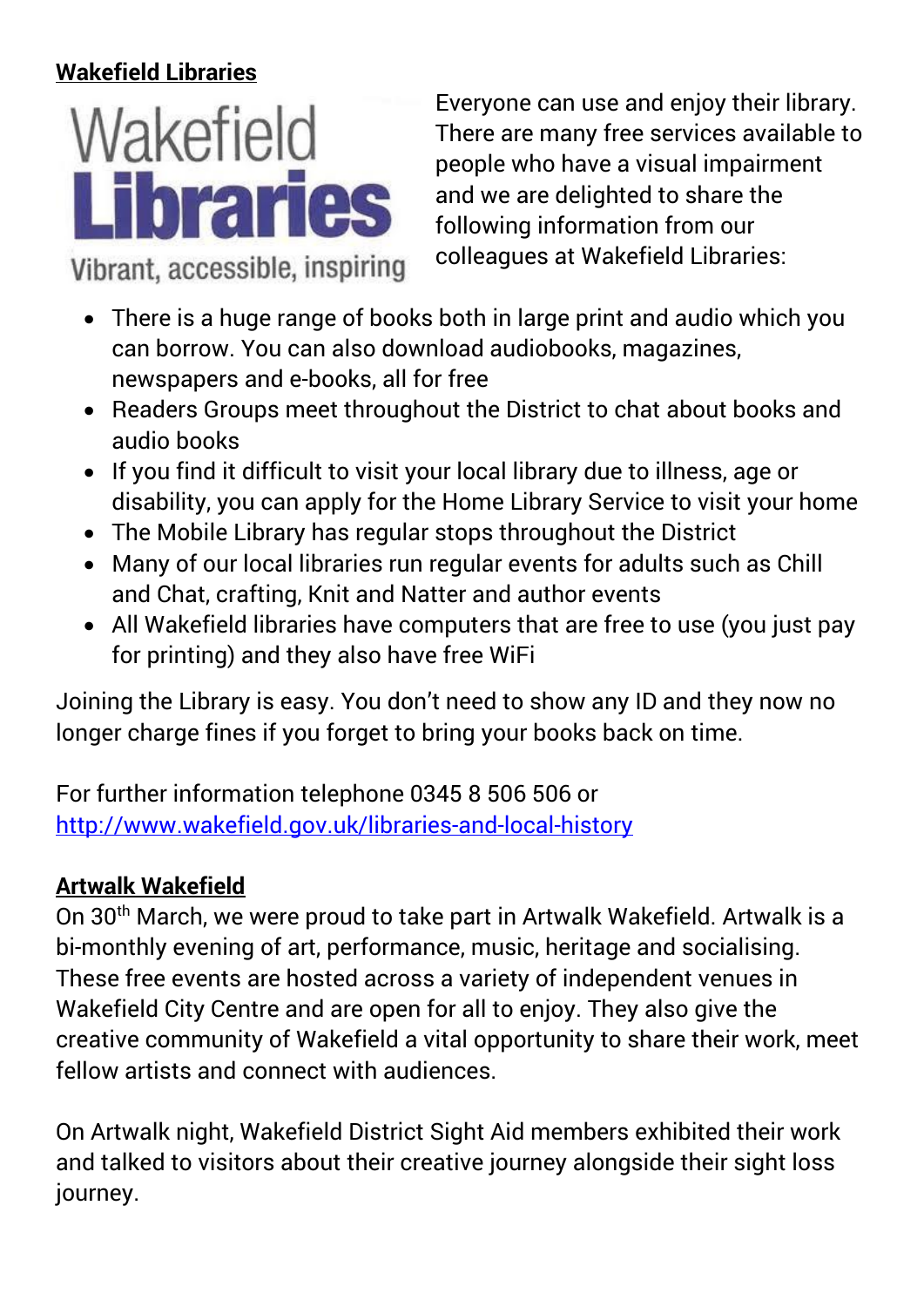#### **Wakefield Libraries**



Vibrant, accessible, inspiring

Everyone can use and enjoy their library. There are many free services available to people who have a visual impairment and we are delighted to share the following information from our colleagues at Wakefield Libraries:

- There is a huge range of books both in large print and audio which you can borrow. You can also download audiobooks, magazines, newspapers and e-books, all for free
- Readers Groups meet throughout the District to chat about books and audio books
- If you find it difficult to visit your local library due to illness, age or disability, you can apply for the Home Library Service to visit your home
- The Mobile Library has regular stops throughout the District
- Many of our local libraries run regular events for adults such as Chill and Chat, crafting, Knit and Natter and author events
- All Wakefield libraries have computers that are free to use (you just pay for printing) and they also have free WiFi

Joining the Library is easy. You don't need to show any ID and they now no longer charge fines if you forget to bring your books back on time.

For further information telephone 0345 8 506 506 or <http://www.wakefield.gov.uk/libraries-and-local-history>

### **Artwalk Wakefield**

On 30<sup>th</sup> March, we were proud to take part in Artwalk Wakefield. Artwalk is a bi-monthly evening of art, performance, music, heritage and socialising. These free events are hosted across a variety of independent venues in Wakefield City Centre and are open for all to enjoy. They also give the creative community of Wakefield a vital opportunity to share their work, meet fellow artists and connect with audiences.

On Artwalk night, Wakefield District Sight Aid members exhibited their work and talked to visitors about their creative journey alongside their sight loss journey.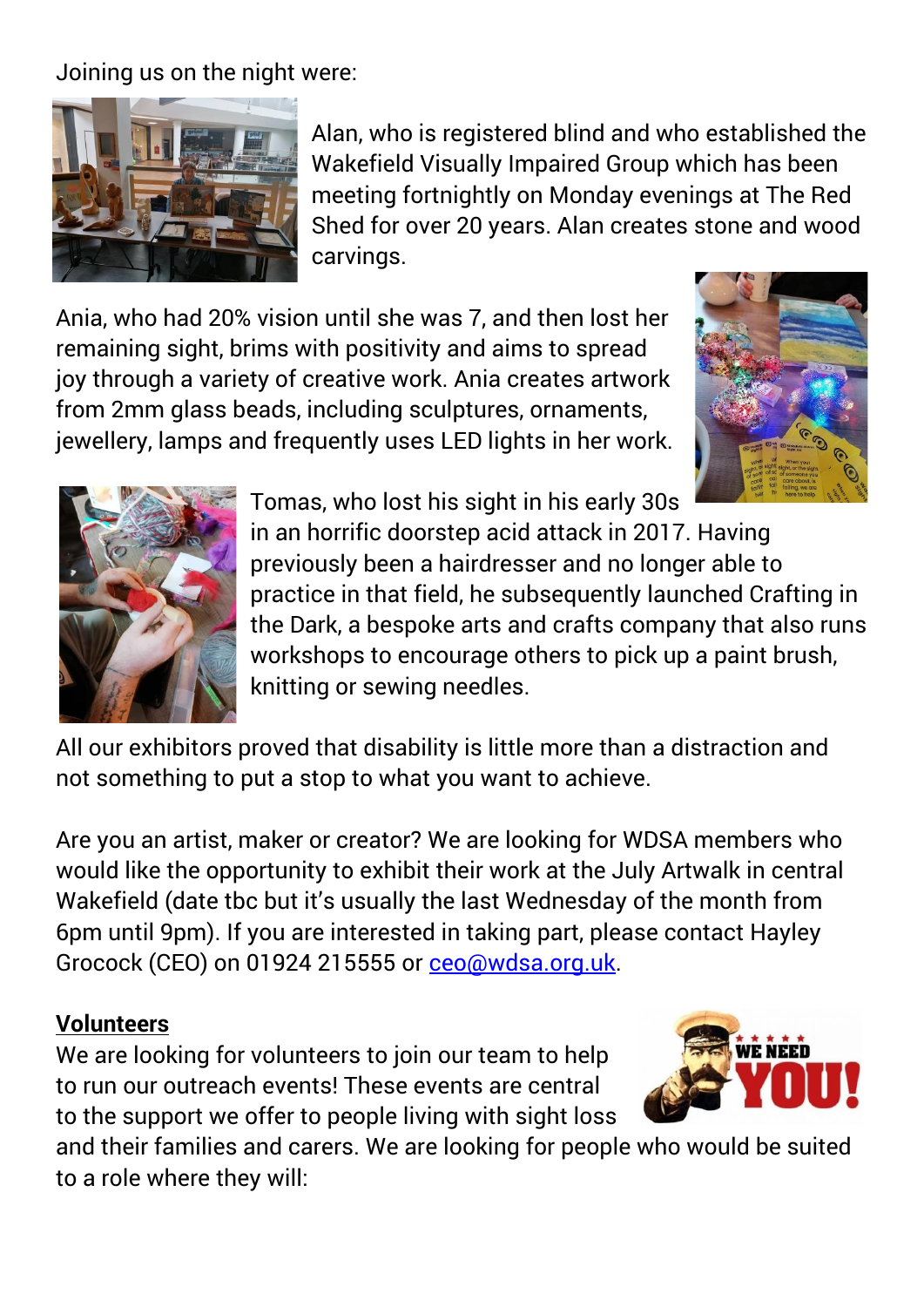Joining us on the night were:



Alan, who is registered blind and who established the Wakefield Visually Impaired Group which has been meeting fortnightly on Monday evenings at The Red Shed for over 20 years. Alan creates stone and wood carvings.

Ania, who had 20% vision until she was 7, and then lost her remaining sight, brims with positivity and aims to spread joy through a variety of creative work. Ania creates artwork from 2mm glass beads, including sculptures, ornaments, jewellery, lamps and frequently uses LED lights in her work.





Tomas, who lost his sight in his early 30s in an horrific doorstep acid attack in 2017. Having previously been a hairdresser and no longer able to practice in that field, he subsequently launched Crafting in the Dark, a bespoke arts and crafts company that also runs workshops to encourage others to pick up a paint brush, knitting or sewing needles.

All our exhibitors proved that disability is little more than a distraction and not something to put a stop to what you want to achieve.

Are you an artist, maker or creator? We are looking for WDSA members who would like the opportunity to exhibit their work at the July Artwalk in central Wakefield (date tbc but it's usually the last Wednesday of the month from 6pm until 9pm). If you are interested in taking part, please contact Hayley Grocock (CEO) on 01924 215555 or [ceo@wdsa.org.uk.](mailto:ceo@wdsa.org.uk)

#### **Volunteers**

We are looking for volunteers to join our team to help to run our outreach events! These events are central to the support we offer to people living with sight loss



and their families and carers. We are looking for people who would be suited to a role where they will: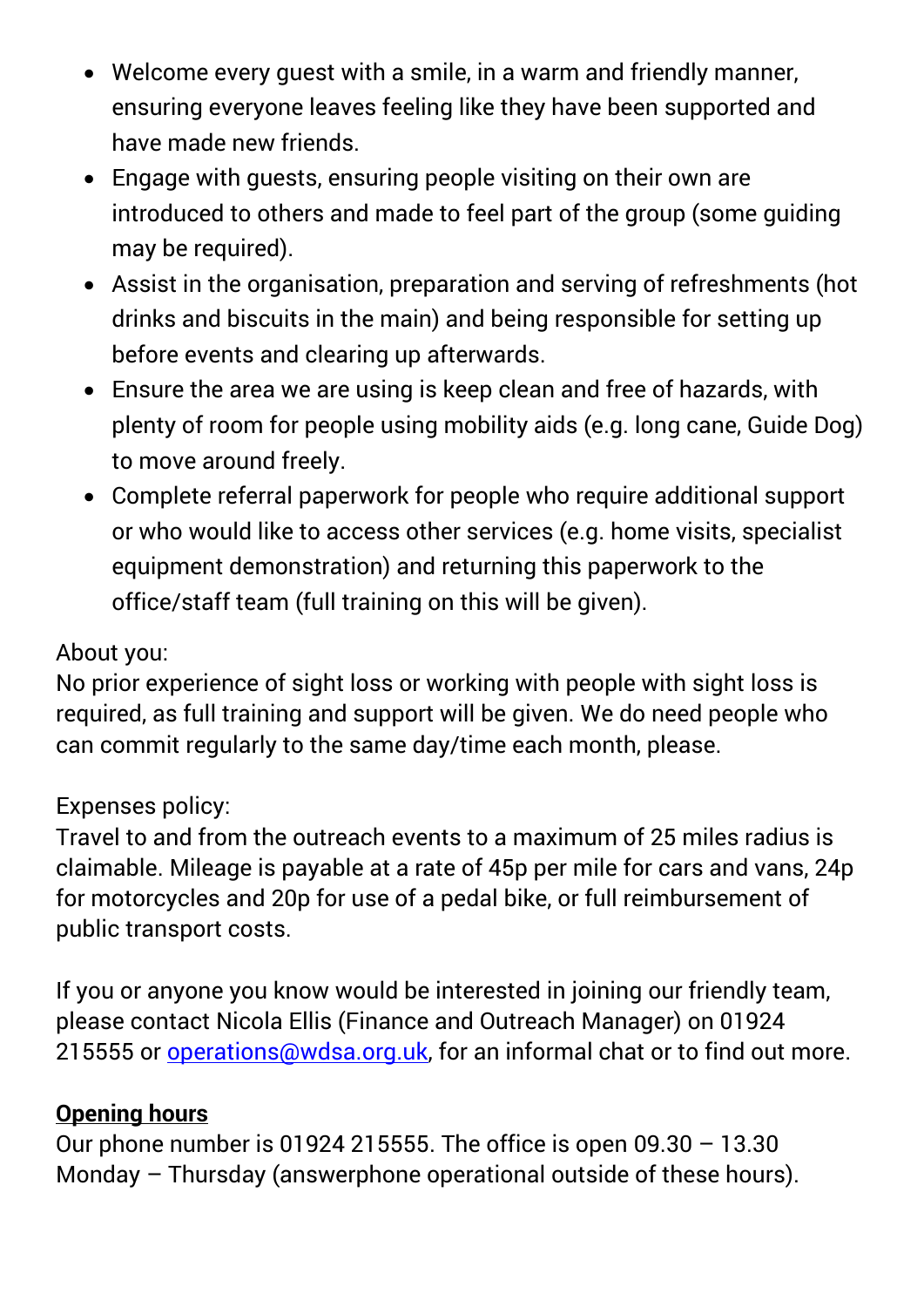- Welcome every guest with a smile, in a warm and friendly manner, ensuring everyone leaves feeling like they have been supported and have made new friends.
- Engage with guests, ensuring people visiting on their own are introduced to others and made to feel part of the group (some guiding may be required).
- Assist in the organisation, preparation and serving of refreshments (hot drinks and biscuits in the main) and being responsible for setting up before events and clearing up afterwards.
- Ensure the area we are using is keep clean and free of hazards, with plenty of room for people using mobility aids (e.g. long cane, Guide Dog) to move around freely.
- Complete referral paperwork for people who require additional support or who would like to access other services (e.g. home visits, specialist equipment demonstration) and returning this paperwork to the office/staff team (full training on this will be given).

#### About you:

No prior experience of sight loss or working with people with sight loss is required, as full training and support will be given. We do need people who can commit regularly to the same day/time each month, please.

#### Expenses policy:

Travel to and from the outreach events to a maximum of 25 miles radius is claimable. Mileage is payable at a rate of 45p per mile for cars and vans, 24p for motorcycles and 20p for use of a pedal bike, or full reimbursement of public transport costs.

If you or anyone you know would be interested in joining our friendly team, please contact Nicola Ellis (Finance and Outreach Manager) on 01924 215555 or [operations@wdsa.org.uk,](mailto:operations@wdsa.org.uk) for an informal chat or to find out more.

#### **Opening hours**

Our phone number is 01924 215555. The office is open  $09.30 - 13.30$ Monday – Thursday (answerphone operational outside of these hours).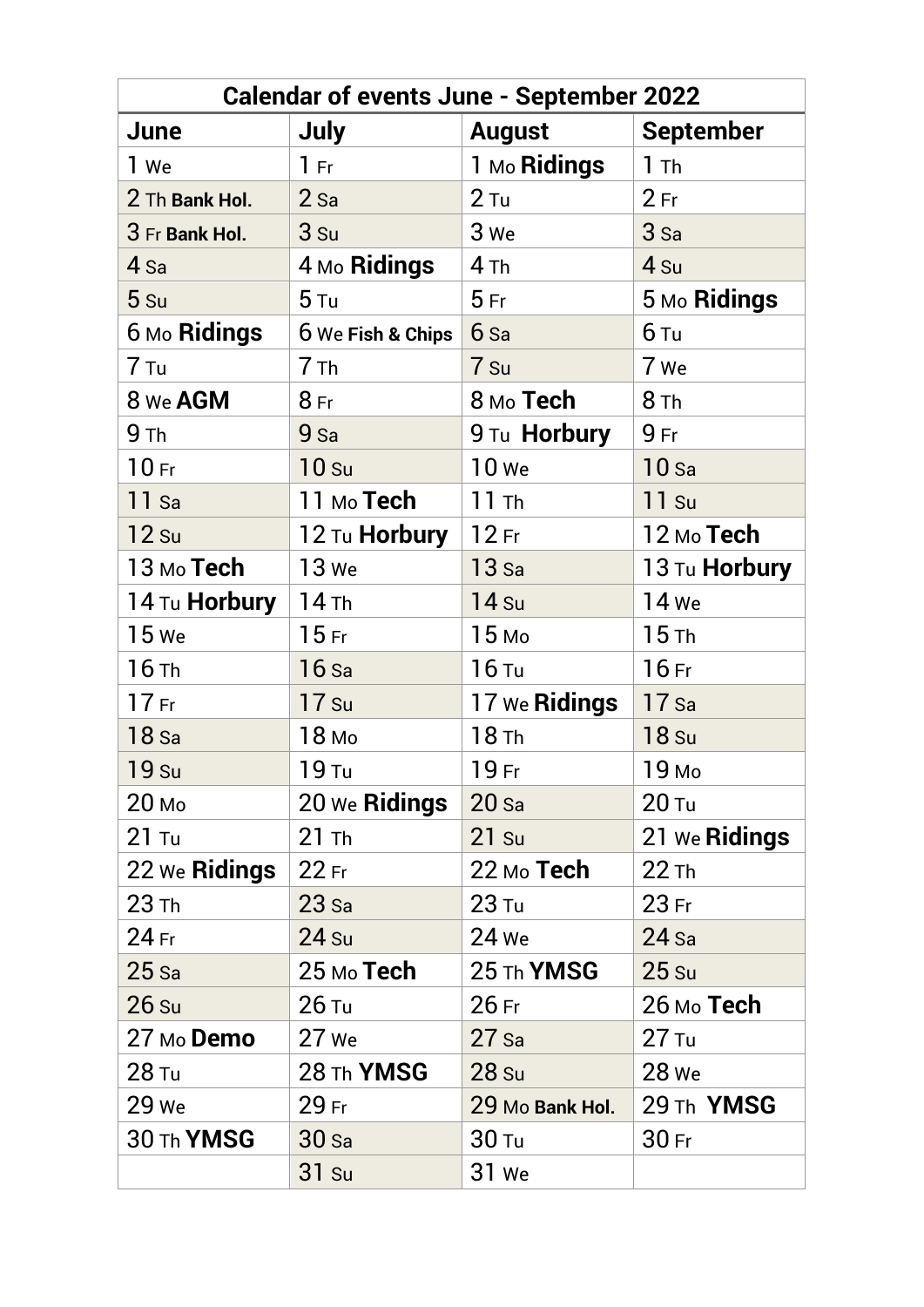| <b>Calendar of events June - September 2022</b> |                        |                      |                      |
|-------------------------------------------------|------------------------|----------------------|----------------------|
| June                                            | July                   | <b>August</b>        | <b>September</b>     |
| 1 We                                            | 1 Fr                   | 1 Mo <b>Ridings</b>  | 1 <sub>Th</sub>      |
| 2 Th Bank Hol.                                  | $2$ Sa                 | $2$ Tu               | 2Fr                  |
| 3 Fr Bank Hol.                                  | 3s <sub>u</sub>        | 3 We                 | 3 <sub>sa</sub>      |
| 4 <sub>Sa</sub>                                 | 4 Mo Ridings           | 4th                  | 4 <sub>Su</sub>      |
| 5 s <sub>u</sub>                                | 5 <sub>Tu</sub>        | 5Fr                  | 5 Mo Ridings         |
| 6 Mo Ridings                                    | 6 We Fish & Chips      | $6s$ a               | 6 Tu                 |
| 7 Tu                                            | 7 <sub>Th</sub>        | 7 Su                 | 7 We                 |
| 8 We AGM                                        | 8Fr                    | 8 мо <b>Тесһ</b>     | 8 <sub>Th</sub>      |
| 9 <sub>Th</sub>                                 | $9$ Sa                 | 9 Tu Horbury         | 9Fr                  |
| 10 <sub>Fr</sub>                                | 10 <sub>su</sub>       | <b>10 We</b>         | 10 <sub>sa</sub>     |
| $11$ Sa                                         | 11 м <sub>о</sub> Tech | 11 Th                | $11$ Su              |
| $12$ Su                                         | 12 Tu <b>Horbury</b>   | $12$ Fr              | $12$ Mo Tech         |
| 13 Mo Tech                                      | 13 We                  | $13$ Sa              | 13 Tu <b>Horbury</b> |
| 14 Tu <b>Horbury</b>                            | $14$ Th                | <b>14 Su</b>         | 14 We                |
| <b>15</b> We                                    | 15 <sub>Fr</sub>       | 15 <sub>Mo</sub>     | 15th                 |
| $16$ Th                                         | $16$ Sa                | $16$ Tu              | $16$ Fr              |
| 17 <sub>Fr</sub>                                | $17$ Su                | 17 We <b>Ridings</b> | $17$ Sa              |
| $18$ Sa                                         | 18 мо                  | $18$ Th              | <b>18 Su</b>         |
| <b>19 su</b>                                    | 19 Tu                  | 19 Fr                | 19 мо                |
| 20 <sub>Mo</sub>                                | 20 We Ridings          | $20 s$ a             | $20$ Tu              |
| $21$ Tu                                         | $21$ Th                | $21$ Su              | 21 We Ridings        |
| 22 We Ridings                                   | 22 Fr                  | $22$ Mo Tech         | $22$ Th              |
| $23$ Th                                         | 23 s <sub>a</sub>      | $23$ Tu              | $23$ Fr              |
| $24$ Fr                                         | $24$ Su                | 24 We                | $24$ Sa              |
| $25$ Sa                                         | 25 мо <b>Тесһ</b>      | 25 Th YMSG           | 25 s <sub>u</sub>    |
| 26 s <sub>u</sub>                               | $26$ Tu                | $26$ Fr              | 26 мо <b>Тесһ</b>    |
| 27 Mo Demo                                      | $27$ We                | $27$ Sa              | $27$ Tu              |
| 28 Tu                                           | 28 Th YMSG             | 28 s <sub>u</sub>    | 28 We                |
| 29 We                                           | 29 Fr                  | 29 Mo Bank Hol.      | 29 Th YMSG           |
| 30 Th YMSG                                      | 30 s <sub>a</sub>      | 30 <sub>Tu</sub>     | 30 Fr                |
|                                                 | $31$ Su                | 31 We                |                      |